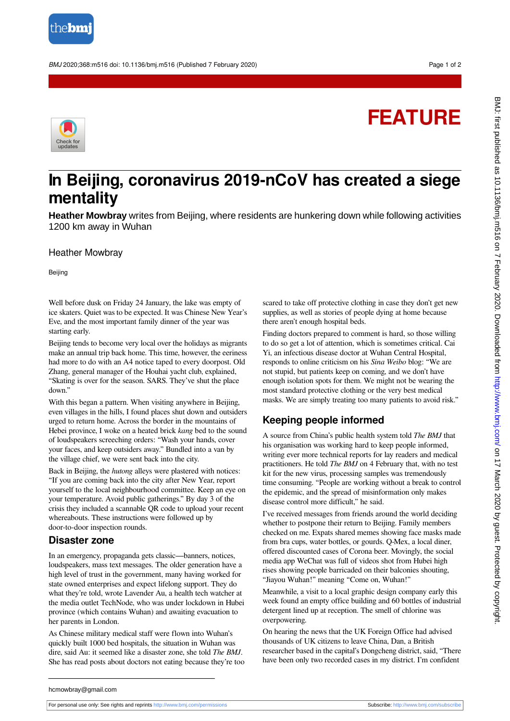

BMJ 2020;368:m516 doi: 10.1136/bmj.m516 (Published 7 February 2020) Page 1 of 2

## **FEATURE**



## **In Beijing, coronavirus 2019-nCoV has created a siege mentality**

**Heather Mowbray** writes from Beijing, where residents are hunkering down while following activities 1200 km away in Wuhan

Heather Mowbray

Beijing

Well before dusk on Friday 24 January, the lake was empty of ice skaters. Quiet was to be expected. It was Chinese New Year's Eve, and the most important family dinner of the year was starting early.

Beijing tends to become very local over the holidays as migrants make an annual trip back home. This time, however, the eeriness had more to do with an A4 notice taped to every doorpost. Old Zhang, general manager of the Houhai yacht club, explained, "Skating is over for the season. SARS. They've shut the place down."

With this began a pattern. When visiting anywhere in Beijing, even villages in the hills, I found places shut down and outsiders urged to return home. Across the border in the mountains of Hebei province, I woke on a heated brick *kang* bed to the sound of loudspeakers screeching orders: "Wash your hands, cover your faces, and keep outsiders away." Bundled into a van by the village chief, we were sent back into the city.

Back in Beijing, the *hutong* alleys were plastered with notices: "If you are coming back into the city after New Year, report yourself to the local neighbourhood committee. Keep an eye on your temperature. Avoid public gatherings." By day 3 of the crisis they included a scannable QR code to upload your recent whereabouts. These instructions were followed up by door-to-door inspection rounds.

## **Disaster zone**

In an emergency, propaganda gets classic—banners, notices, loudspeakers, mass text messages. The older generation have a high level of trust in the government, many having worked for state owned enterprises and expect lifelong support. They do what they're told, wrote Lavender Au, a health tech watcher at the media outlet TechNode, who was under lockdown in Hubei province (which contains Wuhan) and awaiting evacuation to her parents in London.

As Chinese military medical staff were flown into Wuhan's quickly built 1000 bed hospitals, the situation in Wuhan was dire, said Au: it seemed like a disaster zone, she told *The BMJ*. She has read posts about doctors not eating because they're too scared to take off protective clothing in case they don't get new supplies, as well as stories of people dying at home because there aren't enough hospital beds.

Finding doctors prepared to comment is hard, so those willing to do so get a lot of attention, which is sometimes critical. Cai Yi, an infectious disease doctor at Wuhan Central Hospital, responds to online criticism on his *Sina Weibo* blog: "We are not stupid, but patients keep on coming, and we don't have enough isolation spots for them. We might not be wearing the most standard protective clothing or the very best medical masks. We are simply treating too many patients to avoid risk."

## **Keeping people informed**

A source from China's public health system told *The BMJ* that his organisation was working hard to keep people informed, writing ever more technical reports for lay readers and medical practitioners. He told *The BMJ* on 4 February that, with no test kit for the new virus, processing samples was tremendously time consuming. "People are working without a break to control the epidemic, and the spread of misinformation only makes disease control more difficult," he said.

I've received messages from friends around the world deciding whether to postpone their return to Beijing. Family members checked on me. Expats shared memes showing face masks made from bra cups, water bottles, or gourds. Q-Mex, a local diner, offered discounted cases of Corona beer. Movingly, the social media app WeChat was full of videos shot from Hubei high rises showing people barricaded on their balconies shouting, "Jiayou Wuhan!" meaning "Come on, Wuhan!"

Meanwhile, a visit to a local graphic design company early this week found an empty office building and 60 bottles of industrial detergent lined up at reception. The smell of chlorine was overpowering.

On hearing the news that the UK Foreign Office had advised thousands of UK citizens to leave China, Dan, a British researcher based in the capital's Dongcheng district, said, "There have been only two recorded cases in my district. I'm confident